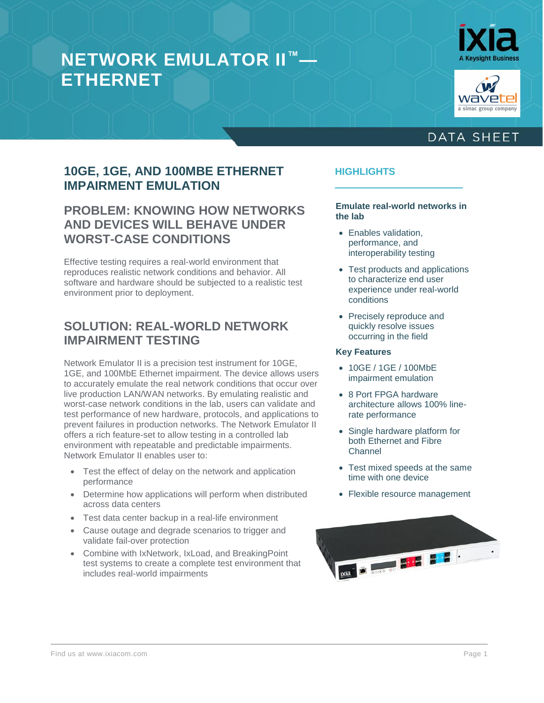# **NETWORK EMULATOR II™— ETHERNET**





### **DATA SHEET**

#### **10GE, 1GE, AND 100MBE ETHERNET IMPAIRMENT EMULATION**

#### **PROBLEM: KNOWING HOW NETWORKS AND DEVICES WILL BEHAVE UNDER WORST-CASE CONDITIONS**

Effective testing requires a real-world environment that reproduces realistic network conditions and behavior. All software and hardware should be subjected to a realistic test environment prior to deployment.

#### **SOLUTION: REAL-WORLD NETWORK IMPAIRMENT TESTING**

Network Emulator II is a precision test instrument for 10GE, 1GE, and 100MbE Ethernet impairment. The device allows users to accurately emulate the real network conditions that occur over live production LAN/WAN networks. By emulating realistic and worst-case network conditions in the lab, users can validate and test performance of new hardware, protocols, and applications to prevent failures in production networks. The Network Emulator II offers a rich feature-set to allow testing in a controlled lab environment with repeatable and predictable impairments. Network Emulator II enables user to:

- Test the effect of delay on the network and application performance
- Determine how applications will perform when distributed across data centers
- Test data center backup in a real-life environment
- Cause outage and degrade scenarios to trigger and validate fail-over protection
- Combine with IxNetwork, IxLoad, and BreakingPoint test systems to create a complete test environment that includes real-world impairments

#### **HIGHLIGHTS**

**Emulate real-world networks in the lab**

- **Enables validation** performance, and interoperability testing
- Test products and applications to characterize end user experience under real-world conditions
- Precisely reproduce and quickly resolve issues occurring in the field

#### **Key Features**

- 10GE / 1GE / 100MbE impairment emulation
- 8 Port FPGA hardware architecture allows 100% linerate performance
- Single hardware platform for both Ethernet and Fibre Channel
- Test mixed speeds at the same time with one device
- Flexible resource management

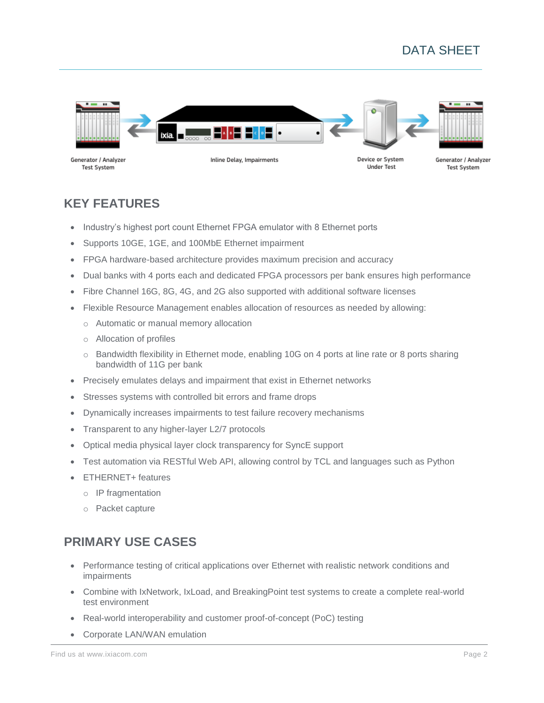# DATA SHEET



Generator / Analyzer **Test System** 

Inline Delay, Impairments

Device or System **Under Test** 

Generator / Analyzer **Test System** 

#### **KEY FEATURES**

- Industry's highest port count Ethernet FPGA emulator with 8 Ethernet ports
- Supports 10GE, 1GE, and 100MbE Ethernet impairment
- FPGA hardware-based architecture provides maximum precision and accuracy
- Dual banks with 4 ports each and dedicated FPGA processors per bank ensures high performance
- Fibre Channel 16G, 8G, 4G, and 2G also supported with additional software licenses
- Flexible Resource Management enables allocation of resources as needed by allowing:
	- o Automatic or manual memory allocation
	- o Allocation of profiles
	- o Bandwidth flexibility in Ethernet mode, enabling 10G on 4 ports at line rate or 8 ports sharing bandwidth of 11G per bank
- Precisely emulates delays and impairment that exist in Ethernet networks
- Stresses systems with controlled bit errors and frame drops
- Dynamically increases impairments to test failure recovery mechanisms
- Transparent to any higher-layer L2/7 protocols
- Optical media physical layer clock transparency for SyncE support
- Test automation via RESTful Web API, allowing control by TCL and languages such as Python
- ETHERNET+ features
	- o IP fragmentation
	- o Packet capture

#### **PRIMARY USE CASES**

- Performance testing of critical applications over Ethernet with realistic network conditions and impairments
- Combine with IxNetwork, IxLoad, and BreakingPoint test systems to create a complete real-world test environment
- Real-world interoperability and customer proof-of-concept (PoC) testing
- Corporate LAN/WAN emulation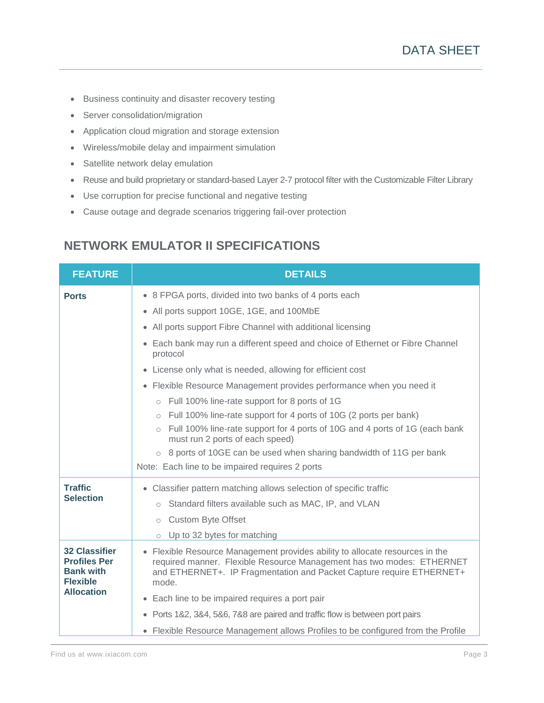- Business continuity and disaster recovery testing
- Server consolidation/migration
- Application cloud migration and storage extension
- Wireless/mobile delay and impairment simulation
- Satellite network delay emulation
- Reuse and build proprietary or standard-based Layer 2-7 protocol filter with the Customizable Filter Library
- Use corruption for precise functional and negative testing
- Cause outage and degrade scenarios triggering fail-over protection

#### **NETWORK EMULATOR II SPECIFICATIONS**

| <b>FEATURE</b>                                                                                          | <b>DETAILS</b>                                                                                                                                                                                                                         |  |  |  |
|---------------------------------------------------------------------------------------------------------|----------------------------------------------------------------------------------------------------------------------------------------------------------------------------------------------------------------------------------------|--|--|--|
| <b>Ports</b>                                                                                            | • 8 FPGA ports, divided into two banks of 4 ports each                                                                                                                                                                                 |  |  |  |
|                                                                                                         | • All ports support 10GE, 1GE, and 100MbE                                                                                                                                                                                              |  |  |  |
|                                                                                                         | • All ports support Fibre Channel with additional licensing                                                                                                                                                                            |  |  |  |
|                                                                                                         | • Each bank may run a different speed and choice of Ethernet or Fibre Channel<br>protocol                                                                                                                                              |  |  |  |
|                                                                                                         | • License only what is needed, allowing for efficient cost                                                                                                                                                                             |  |  |  |
|                                                                                                         | • Flexible Resource Management provides performance when you need it                                                                                                                                                                   |  |  |  |
|                                                                                                         | o Full 100% line-rate support for 8 ports of 1G                                                                                                                                                                                        |  |  |  |
|                                                                                                         | o Full 100% line-rate support for 4 ports of 10G (2 ports per bank)                                                                                                                                                                    |  |  |  |
|                                                                                                         | o Full 100% line-rate support for 4 ports of 10G and 4 ports of 1G (each bank<br>must run 2 ports of each speed)                                                                                                                       |  |  |  |
|                                                                                                         | $\circ$ 8 ports of 10GE can be used when sharing bandwidth of 11G per bank                                                                                                                                                             |  |  |  |
|                                                                                                         | Note: Each line to be impaired requires 2 ports                                                                                                                                                                                        |  |  |  |
| <b>Traffic</b>                                                                                          | • Classifier pattern matching allows selection of specific traffic                                                                                                                                                                     |  |  |  |
| <b>Selection</b>                                                                                        | Standard filters available such as MAC, IP, and VLAN<br>$\circ$                                                                                                                                                                        |  |  |  |
|                                                                                                         | o Custom Byte Offset                                                                                                                                                                                                                   |  |  |  |
|                                                                                                         | $\circ$ Up to 32 bytes for matching                                                                                                                                                                                                    |  |  |  |
| <b>32 Classifier</b><br><b>Profiles Per</b><br><b>Bank with</b><br><b>Flexible</b><br><b>Allocation</b> | • Flexible Resource Management provides ability to allocate resources in the<br>required manner. Flexible Resource Management has two modes: ETHERNET<br>and ETHERNET+. IP Fragmentation and Packet Capture require ETHERNET+<br>mode. |  |  |  |
|                                                                                                         | • Each line to be impaired requires a port pair                                                                                                                                                                                        |  |  |  |
|                                                                                                         | • Ports 1&2, 3&4, 5&6, 7&8 are paired and traffic flow is between port pairs                                                                                                                                                           |  |  |  |
|                                                                                                         | • Flexible Resource Management allows Profiles to be configured from the Profile                                                                                                                                                       |  |  |  |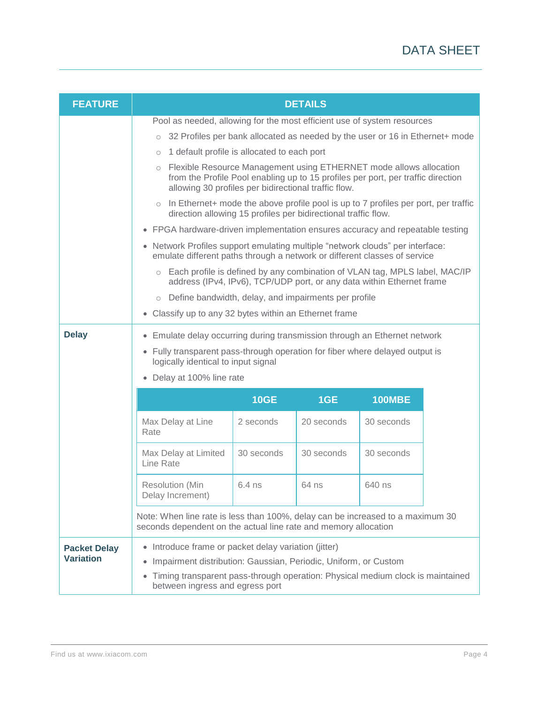| <b>FEATURE</b>                          | <b>DETAILS</b>                                                                                                                                                                                                                                                         |             |            |               |  |
|-----------------------------------------|------------------------------------------------------------------------------------------------------------------------------------------------------------------------------------------------------------------------------------------------------------------------|-------------|------------|---------------|--|
|                                         | Pool as needed, allowing for the most efficient use of system resources                                                                                                                                                                                                |             |            |               |  |
|                                         | 32 Profiles per bank allocated as needed by the user or 16 in Ethernet+ mode<br>$\circ$                                                                                                                                                                                |             |            |               |  |
|                                         | 1 default profile is allocated to each port<br>$\circ$                                                                                                                                                                                                                 |             |            |               |  |
|                                         | o Flexible Resource Management using ETHERNET mode allows allocation<br>from the Profile Pool enabling up to 15 profiles per port, per traffic direction<br>allowing 30 profiles per bidirectional traffic flow.                                                       |             |            |               |  |
|                                         | In Ethernet+ mode the above profile pool is up to 7 profiles per port, per traffic<br>$\circ$<br>direction allowing 15 profiles per bidirectional traffic flow.                                                                                                        |             |            |               |  |
|                                         | • FPGA hardware-driven implementation ensures accuracy and repeatable testing                                                                                                                                                                                          |             |            |               |  |
|                                         | • Network Profiles support emulating multiple "network clouds" per interface:<br>emulate different paths through a network or different classes of service                                                                                                             |             |            |               |  |
|                                         | o Each profile is defined by any combination of VLAN tag, MPLS label, MAC/IP<br>address (IPv4, IPv6), TCP/UDP port, or any data within Ethernet frame                                                                                                                  |             |            |               |  |
|                                         | o Define bandwidth, delay, and impairments per profile                                                                                                                                                                                                                 |             |            |               |  |
|                                         | • Classify up to any 32 bytes within an Ethernet frame                                                                                                                                                                                                                 |             |            |               |  |
| <b>Delay</b>                            | • Emulate delay occurring during transmission through an Ethernet network<br>• Fully transparent pass-through operation for fiber where delayed output is<br>logically identical to input signal<br>• Delay at 100% line rate                                          |             |            |               |  |
|                                         |                                                                                                                                                                                                                                                                        | <b>10GE</b> | 1GE        | <b>100MBE</b> |  |
|                                         | Max Delay at Line<br>Rate                                                                                                                                                                                                                                              | 2 seconds   | 20 seconds | 30 seconds    |  |
|                                         | Max Delay at Limited<br>Line Rate                                                                                                                                                                                                                                      | 30 seconds  | 30 seconds | 30 seconds    |  |
|                                         | <b>Resolution (Min</b><br>Delay Increment)                                                                                                                                                                                                                             | $6.4$ ns    | 64 ns      | 640 ns        |  |
|                                         | Note: When line rate is less than 100%, delay can be increased to a maximum 30<br>seconds dependent on the actual line rate and memory allocation                                                                                                                      |             |            |               |  |
| <b>Packet Delay</b><br><b>Variation</b> | • Introduce frame or packet delay variation (jitter)<br>Impairment distribution: Gaussian, Periodic, Uniform, or Custom<br>$\bullet$<br>Timing transparent pass-through operation: Physical medium clock is maintained<br>$\bullet$<br>between ingress and egress port |             |            |               |  |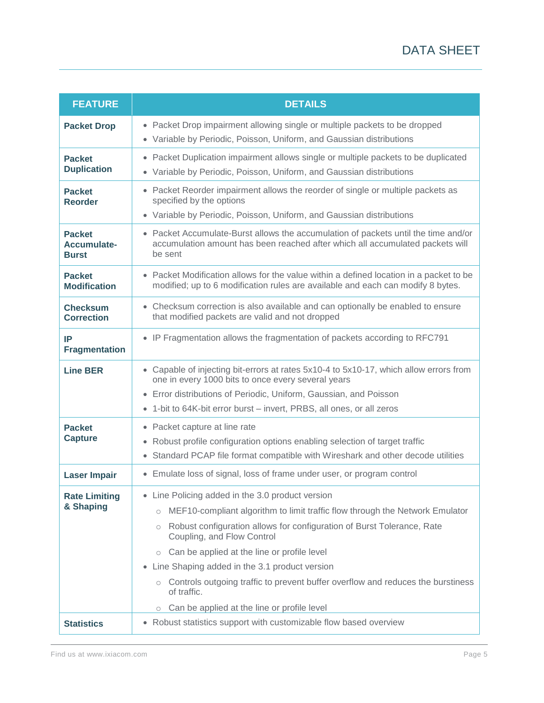| <b>FEATURE</b>                               | <b>DETAILS</b>                                                                                                                                                                                                                                                                                                                                                                                                                                                                                                                                 |  |  |  |
|----------------------------------------------|------------------------------------------------------------------------------------------------------------------------------------------------------------------------------------------------------------------------------------------------------------------------------------------------------------------------------------------------------------------------------------------------------------------------------------------------------------------------------------------------------------------------------------------------|--|--|--|
| <b>Packet Drop</b>                           | • Packet Drop impairment allowing single or multiple packets to be dropped<br>• Variable by Periodic, Poisson, Uniform, and Gaussian distributions                                                                                                                                                                                                                                                                                                                                                                                             |  |  |  |
| <b>Packet</b><br><b>Duplication</b>          | • Packet Duplication impairment allows single or multiple packets to be duplicated<br>• Variable by Periodic, Poisson, Uniform, and Gaussian distributions                                                                                                                                                                                                                                                                                                                                                                                     |  |  |  |
| <b>Packet</b><br><b>Reorder</b>              | • Packet Reorder impairment allows the reorder of single or multiple packets as<br>specified by the options<br>• Variable by Periodic, Poisson, Uniform, and Gaussian distributions                                                                                                                                                                                                                                                                                                                                                            |  |  |  |
| <b>Packet</b><br>Accumulate-<br><b>Burst</b> | • Packet Accumulate-Burst allows the accumulation of packets until the time and/or<br>accumulation amount has been reached after which all accumulated packets will<br>be sent                                                                                                                                                                                                                                                                                                                                                                 |  |  |  |
| <b>Packet</b><br><b>Modification</b>         | • Packet Modification allows for the value within a defined location in a packet to be<br>modified; up to 6 modification rules are available and each can modify 8 bytes.                                                                                                                                                                                                                                                                                                                                                                      |  |  |  |
| <b>Checksum</b><br><b>Correction</b>         | • Checksum correction is also available and can optionally be enabled to ensure<br>that modified packets are valid and not dropped                                                                                                                                                                                                                                                                                                                                                                                                             |  |  |  |
| IP<br><b>Fragmentation</b>                   | • IP Fragmentation allows the fragmentation of packets according to RFC791                                                                                                                                                                                                                                                                                                                                                                                                                                                                     |  |  |  |
| <b>Line BER</b>                              | • Capable of injecting bit-errors at rates 5x10-4 to 5x10-17, which allow errors from<br>one in every 1000 bits to once every several years<br>• Error distributions of Periodic, Uniform, Gaussian, and Poisson<br>• 1-bit to 64K-bit error burst – invert, PRBS, all ones, or all zeros                                                                                                                                                                                                                                                      |  |  |  |
| <b>Packet</b><br><b>Capture</b>              | • Packet capture at line rate<br>• Robust profile configuration options enabling selection of target traffic<br>• Standard PCAP file format compatible with Wireshark and other decode utilities                                                                                                                                                                                                                                                                                                                                               |  |  |  |
| <b>Laser Impair</b>                          | • Emulate loss of signal, loss of frame under user, or program control                                                                                                                                                                                                                                                                                                                                                                                                                                                                         |  |  |  |
| <b>Rate Limiting</b><br>& Shaping            | Line Policing added in the 3.0 product version<br>$\bullet$<br>MEF10-compliant algorithm to limit traffic flow through the Network Emulator<br>$\circ$<br>Robust configuration allows for configuration of Burst Tolerance, Rate<br>$\bigcirc$<br>Coupling, and Flow Control<br>o Can be applied at the line or profile level<br>• Line Shaping added in the 3.1 product version<br>○ Controls outgoing traffic to prevent buffer overflow and reduces the burstiness<br>of traffic.<br>Can be applied at the line or profile level<br>$\circ$ |  |  |  |
| <b>Statistics</b>                            | • Robust statistics support with customizable flow based overview                                                                                                                                                                                                                                                                                                                                                                                                                                                                              |  |  |  |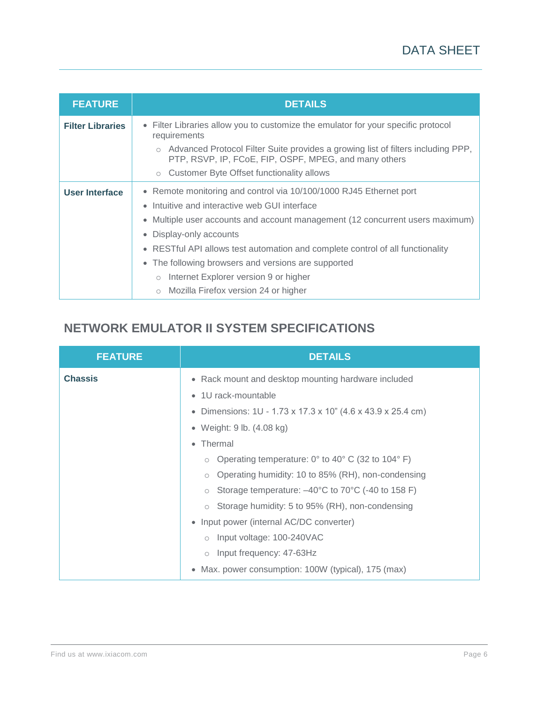| <b>FEATURE</b>          | <b>DETAILS</b>                                                                                                                              |  |  |  |
|-------------------------|---------------------------------------------------------------------------------------------------------------------------------------------|--|--|--|
| <b>Filter Libraries</b> | • Filter Libraries allow you to customize the emulator for your specific protocol<br>requirements                                           |  |  |  |
|                         | o Advanced Protocol Filter Suite provides a growing list of filters including PPP,<br>PTP, RSVP, IP, FCoE, FIP, OSPF, MPEG, and many others |  |  |  |
|                         | o Customer Byte Offset functionality allows                                                                                                 |  |  |  |
| User Interface          | • Remote monitoring and control via 10/100/1000 RJ45 Ethernet port                                                                          |  |  |  |
|                         | • Intuitive and interactive web GUI interface                                                                                               |  |  |  |
|                         | • Multiple user accounts and account management (12 concurrent users maximum)                                                               |  |  |  |
|                         | Display-only accounts<br>$\bullet$                                                                                                          |  |  |  |
|                         | • RESTful API allows test automation and complete control of all functionality                                                              |  |  |  |
|                         | • The following browsers and versions are supported                                                                                         |  |  |  |
|                         | o Internet Explorer version 9 or higher                                                                                                     |  |  |  |
|                         | o Mozilla Firefox version 24 or higher                                                                                                      |  |  |  |

# **NETWORK EMULATOR II SYSTEM SPECIFICATIONS**

| <b>FEATURE</b> | <b>DETAILS</b>                                                                                                                                                                                                                                                                                                                             |  |  |  |
|----------------|--------------------------------------------------------------------------------------------------------------------------------------------------------------------------------------------------------------------------------------------------------------------------------------------------------------------------------------------|--|--|--|
| <b>Chassis</b> | • Rack mount and desktop mounting hardware included<br>1U rack-mountable<br>$\bullet$<br>Dimensions: 1U - 1.73 x 17.3 x 10" (4.6 x 43.9 x 25.4 cm)<br>$\bullet$<br>Weight: 9 lb. (4.08 kg)<br>$\bullet$<br>Thermal<br>$\bullet$<br>Operating temperature: 0° to 40° C (32 to 104° F)<br>Operating humidity: 10 to 85% (RH), non-condensing |  |  |  |
|                | Storage temperature: -40°C to 70°C (-40 to 158 F)<br>$\circ$<br>Storage humidity: 5 to 95% (RH), non-condensing<br>Input power (internal AC/DC converter)<br>$\bullet$<br>Input voltage: 100-240VAC<br>Input frequency: 47-63Hz<br>$\circ$<br>Max. power consumption: 100W (typical), 175 (max)<br>$\bullet$                               |  |  |  |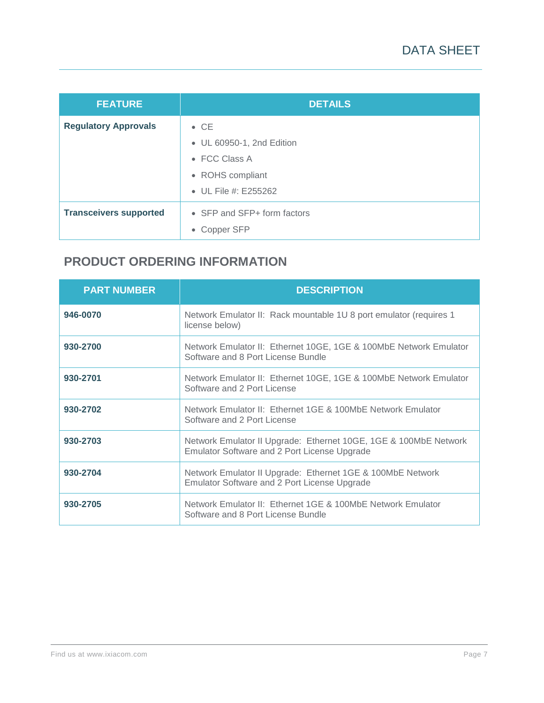| <b>FEATURE</b>                | <b>DETAILS</b>              |
|-------------------------------|-----------------------------|
| <b>Regulatory Approvals</b>   | $\bullet$ CE                |
|                               | • UL 60950-1, 2nd Edition   |
|                               | $\bullet$ FCC Class A       |
|                               | • ROHS compliant            |
|                               | • UL File #: E255262        |
| <b>Transceivers supported</b> | • SFP and SFP+ form factors |
|                               | • Copper SFP                |

## **PRODUCT ORDERING INFORMATION**

| <b>PART NUMBER</b> | <b>DESCRIPTION</b>                                                                                               |
|--------------------|------------------------------------------------------------------------------------------------------------------|
| 946-0070           | Network Emulator II: Rack mountable 1U 8 port emulator (requires 1<br>license below)                             |
| 930-2700           | Network Emulator II: Ethernet 10GE, 1GE & 100MbE Network Emulator<br>Software and 8 Port License Bundle          |
| 930-2701           | Network Emulator II: Ethernet 10GE, 1GE & 100MbE Network Emulator<br>Software and 2 Port License                 |
| 930-2702           | Network Emulator II: Ethernet 1GE & 100MbE Network Emulator<br>Software and 2 Port License                       |
| 930-2703           | Network Emulator II Upgrade: Ethernet 10GE, 1GE & 100MbE Network<br>Emulator Software and 2 Port License Upgrade |
| 930-2704           | Network Emulator II Upgrade: Ethernet 1GE & 100MbE Network<br>Emulator Software and 2 Port License Upgrade       |
| 930-2705           | Network Emulator II: Ethernet 1GE & 100MbE Network Emulator<br>Software and 8 Port License Bundle                |